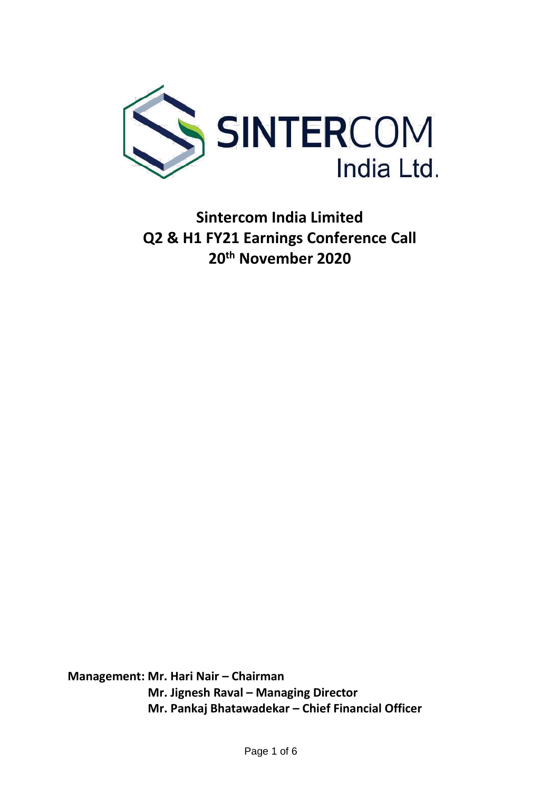

**Sintercom India Limited Q2 & H1 FY21 Earnings Conference Call 20th November 2020**

**Management: Mr. Hari Nair – Chairman Mr. Jignesh Raval – Managing Director Mr. Pankaj Bhatawadekar – Chief Financial Officer**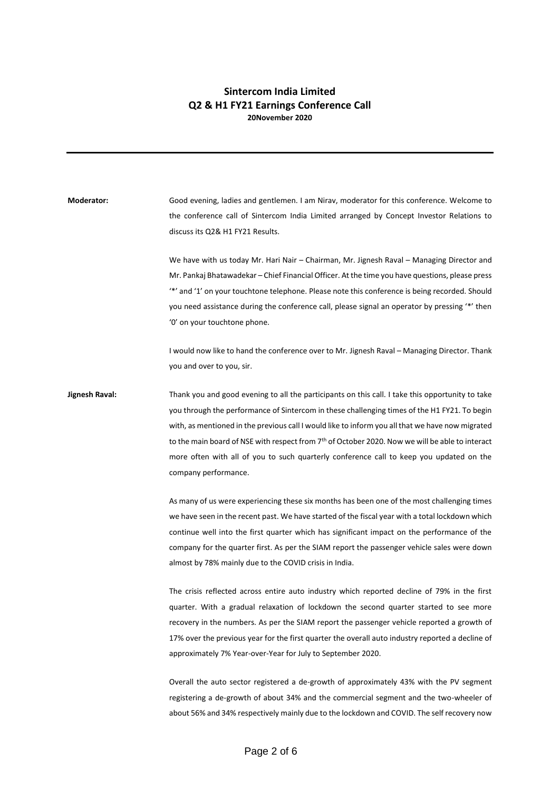## **Sintercom India Limited Q2 & H1 FY21 Earnings Conference Call 20November 2020**

**Moderator:** Good evening, ladies and gentlemen. I am Nirav, moderator for this conference. Welcome to the conference call of Sintercom India Limited arranged by Concept Investor Relations to discuss its Q2& H1 FY21 Results. We have with us today Mr. Hari Nair – Chairman, Mr. Jignesh Raval – Managing Director and Mr. Pankaj Bhatawadekar – Chief Financial Officer. At the time you have questions, please press '\*' and '1' on your touchtone telephone. Please note this conference is being recorded. Should you need assistance during the conference call, please signal an operator by pressing '\*' then '0' on your touchtone phone. I would now like to hand the conference over to Mr. Jignesh Raval – Managing Director. Thank you and over to you, sir. **Jignesh Raval:** Thank you and good evening to all the participants on this call. I take this opportunity to take you through the performance of Sintercom in these challenging times of the H1 FY21. To begin with, as mentioned in the previous call I would like to inform you all that we have now migrated to the main board of NSE with respect from 7<sup>th</sup> of October 2020. Now we will be able to interact more often with all of you to such quarterly conference call to keep you updated on the company performance. As many of us were experiencing these six months has been one of the most challenging times we have seen in the recent past. We have started of the fiscal year with a total lockdown which continue well into the first quarter which has significant impact on the performance of the company for the quarter first. As per the SIAM report the passenger vehicle sales were down almost by 78% mainly due to the COVID crisis in India. The crisis reflected across entire auto industry which reported decline of 79% in the first quarter. With a gradual relaxation of lockdown the second quarter started to see more recovery in the numbers. As per the SIAM report the passenger vehicle reported a growth of 17% over the previous year for the first quarter the overall auto industry reported a decline of approximately 7% Year-over-Year for July to September 2020. Overall the auto sector registered a de-growth of approximately 43% with the PV segment registering a de-growth of about 34% and the commercial segment and the two-wheeler of

about 56% and 34% respectively mainly due to the lockdown and COVID. The self recovery now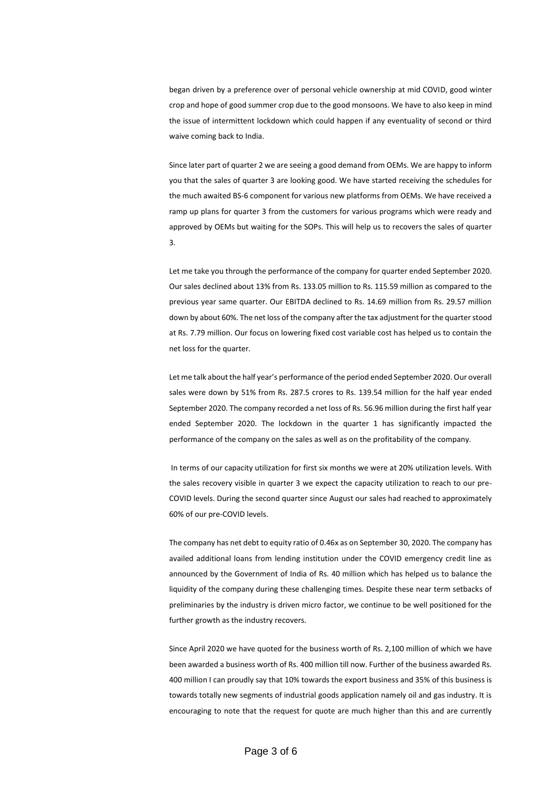began driven by a preference over of personal vehicle ownership at mid COVID, good winter crop and hope of good summer crop due to the good monsoons. We have to also keep in mind the issue of intermittent lockdown which could happen if any eventuality of second or third waive coming back to India.

Since later part of quarter 2 we are seeing a good demand from OEMs. We are happy to inform you that the sales of quarter 3 are looking good. We have started receiving the schedules for the much awaited BS-6 component for various new platforms from OEMs. We have received a ramp up plans for quarter 3 from the customers for various programs which were ready and approved by OEMs but waiting for the SOPs. This will help us to recovers the sales of quarter 3.

Let me take you through the performance of the company for quarter ended September 2020. Our sales declined about 13% from Rs. 133.05 million to Rs. 115.59 million as compared to the previous year same quarter. Our EBITDA declined to Rs. 14.69 million from Rs. 29.57 million down by about 60%. The net loss of the company after the tax adjustment for the quarter stood at Rs. 7.79 million. Our focus on lowering fixed cost variable cost has helped us to contain the net loss for the quarter.

Let me talk about the half year's performance of the period ended September 2020. Our overall sales were down by 51% from Rs. 287.5 crores to Rs. 139.54 million for the half year ended September 2020. The company recorded a net loss of Rs. 56.96 million during the first half year ended September 2020. The lockdown in the quarter 1 has significantly impacted the performance of the company on the sales as well as on the profitability of the company.

In terms of our capacity utilization for first six months we were at 20% utilization levels. With the sales recovery visible in quarter 3 we expect the capacity utilization to reach to our pre-COVID levels. During the second quarter since August our sales had reached to approximately 60% of our pre-COVID levels.

The company has net debt to equity ratio of 0.46x as on September 30, 2020. The company has availed additional loans from lending institution under the COVID emergency credit line as announced by the Government of India of Rs. 40 million which has helped us to balance the liquidity of the company during these challenging times. Despite these near term setbacks of preliminaries by the industry is driven micro factor, we continue to be well positioned for the further growth as the industry recovers.

Since April 2020 we have quoted for the business worth of Rs. 2,100 million of which we have been awarded a business worth of Rs. 400 million till now. Further of the business awarded Rs. 400 million I can proudly say that 10% towards the export business and 35% of this business is towards totally new segments of industrial goods application namely oil and gas industry. It is encouraging to note that the request for quote are much higher than this and are currently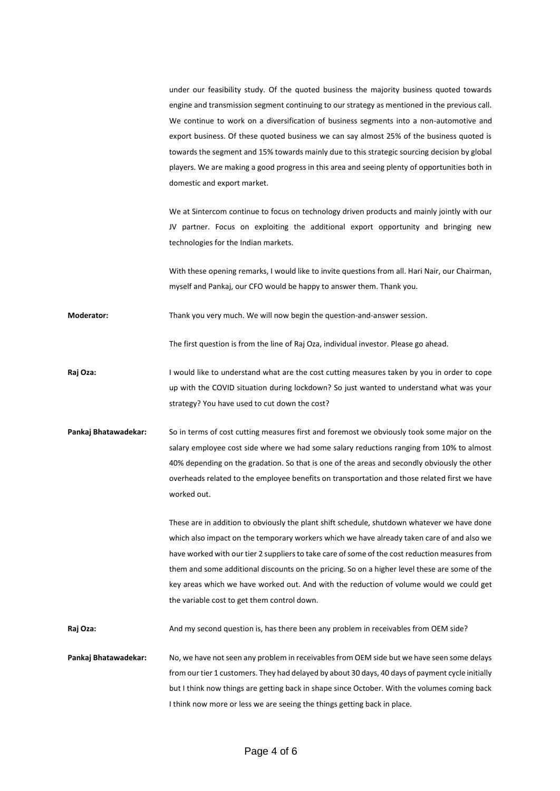under our feasibility study. Of the quoted business the majority business quoted towards engine and transmission segment continuing to our strategy as mentioned in the previous call. We continue to work on a diversification of business segments into a non-automotive and export business. Of these quoted business we can say almost 25% of the business quoted is towards the segment and 15% towards mainly due to this strategic sourcing decision by global players. We are making a good progress in this area and seeing plenty of opportunities both in domestic and export market.

We at Sintercom continue to focus on technology driven products and mainly jointly with our JV partner. Focus on exploiting the additional export opportunity and bringing new technologies for the Indian markets.

With these opening remarks, I would like to invite questions from all. Hari Nair, our Chairman, myself and Pankaj, our CFO would be happy to answer them. Thank you.

**Moderator:** Thank you very much. We will now begin the question-and-answer session.

The first question is from the line of Raj Oza, individual investor. Please go ahead.

**Raj Oza:** I would like to understand what are the cost cutting measures taken by you in order to cope up with the COVID situation during lockdown? So just wanted to understand what was your strategy? You have used to cut down the cost?

**Pankaj Bhatawadekar:** So in terms of cost cutting measures first and foremost we obviously took some major on the salary employee cost side where we had some salary reductions ranging from 10% to almost 40% depending on the gradation. So that is one of the areas and secondly obviously the other overheads related to the employee benefits on transportation and those related first we have worked out.

> These are in addition to obviously the plant shift schedule, shutdown whatever we have done which also impact on the temporary workers which we have already taken care of and also we have worked with our tier 2 suppliers to take care of some of the cost reduction measures from them and some additional discounts on the pricing. So on a higher level these are some of the key areas which we have worked out. And with the reduction of volume would we could get the variable cost to get them control down.

Raj Oza: And my second question is, has there been any problem in receivables from OEM side?

**Pankaj Bhatawadekar:** No, we have not seen any problem in receivables from OEM side but we have seen some delays from our tier 1 customers. They had delayed by about 30 days, 40 days of payment cycle initially but I think now things are getting back in shape since October. With the volumes coming back I think now more or less we are seeing the things getting back in place.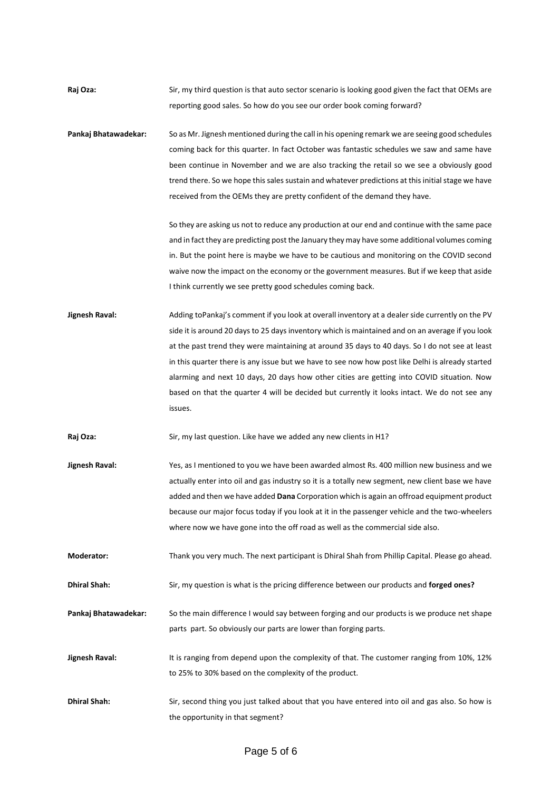- **Raj Oza:** Sir, my third question is that auto sector scenario is looking good given the fact that OEMs are reporting good sales. So how do you see our order book coming forward?
- **Pankaj Bhatawadekar:** So as Mr. Jignesh mentioned during the call in his opening remark we are seeing good schedules coming back for this quarter. In fact October was fantastic schedules we saw and same have been continue in November and we are also tracking the retail so we see a obviously good trend there. So we hope this sales sustain and whatever predictions at this initial stage we have received from the OEMs they are pretty confident of the demand they have.

So they are asking us not to reduce any production at our end and continue with the same pace and in fact they are predicting post the January they may have some additional volumes coming in. But the point here is maybe we have to be cautious and monitoring on the COVID second waive now the impact on the economy or the government measures. But if we keep that aside I think currently we see pretty good schedules coming back.

**Jignesh Raval:** Adding toPankaj's comment if you look at overall inventory at a dealer side currently on the PV side it is around 20 days to 25 days inventory which is maintained and on an average if you look at the past trend they were maintaining at around 35 days to 40 days. So I do not see at least in this quarter there is any issue but we have to see now how post like Delhi is already started alarming and next 10 days, 20 days how other cities are getting into COVID situation. Now based on that the quarter 4 will be decided but currently it looks intact. We do not see any issues.

Raj Oza: Sir, my last question. Like have we added any new clients in H1?

**Jignesh Raval:** Yes, as I mentioned to you we have been awarded almost Rs. 400 million new business and we actually enter into oil and gas industry so it is a totally new segment, new client base we have added and then we have added **Dana** Corporation which is again an offroad equipment product because our major focus today if you look at it in the passenger vehicle and the two-wheelers where now we have gone into the off road as well as the commercial side also.

**Moderator:** Thank you very much. The next participant is Dhiral Shah from Phillip Capital. Please go ahead.

**Dhiral Shah:** Sir, my question is what is the pricing difference between our products and **forged ones?**

**Pankaj Bhatawadekar:** So the main difference I would say between forging and our products is we produce net shape parts part. So obviously our parts are lower than forging parts.

- **Jignesh Raval:** It is ranging from depend upon the complexity of that. The customer ranging from 10%, 12% to 25% to 30% based on the complexity of the product.
- **Dhiral Shah:** Sir, second thing you just talked about that you have entered into oil and gas also. So how is the opportunity in that segment?